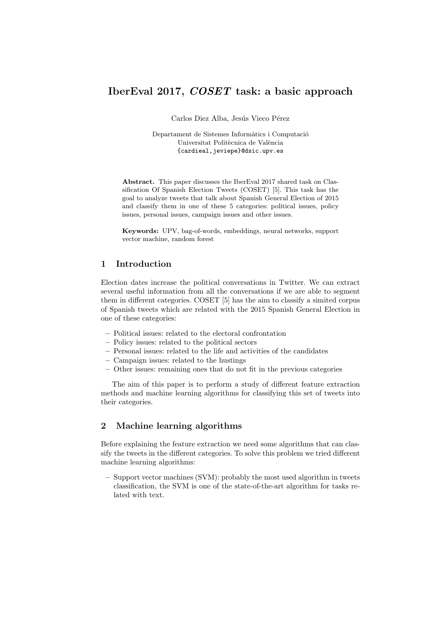# IberEval 2017, COSET task: a basic approach

Carlos Diez Alba, Jesús Vieco Pérez

Departament de Sistemes Informàtics i Computació Universitat Politècnica de València {cardieal,jeviepe}@dsic.upv.es

Abstract. This paper discusses the IberEval 2017 shared task on Classification Of Spanish Election Tweets (COSET) [5]. This task has the goal to analyze tweets that talk about Spanish General Election of 2015 and classify them in one of these 5 categories: political issues, policy issues, personal issues, campaign issues and other issues.

Keywords: UPV, bag-of-words, embeddings, neural networks, support vector machine, random forest

## 1 Introduction

Election dates increase the political conversations in Twitter. We can extract several useful information from all the conversations if we are able to segment them in different categories. COSET [5] has the aim to classify a simited corpus of Spanish tweets which are related with the 2015 Spanish General Election in one of these categories:

- Political issues: related to the electoral confrontation
- Policy issues: related to the political sectors
- Personal issues: related to the life and activities of the candidates
- Campaign issues: related to the hustings
- Other issues: remaining ones that do not fit in the previous categories

The aim of this paper is to perform a study of different feature extraction methods and machine learning algorithms for classifying this set of tweets into their categories.

## 2 Machine learning algorithms

Before explaining the feature extraction we need some algorithms that can classify the tweets in the different categories. To solve this problem we tried different machine learning algorithms:

– Support vector machines (SVM): probably the most used algorithm in tweets classification, the SVM is one of the state-of-the-art algorithm for tasks related with text.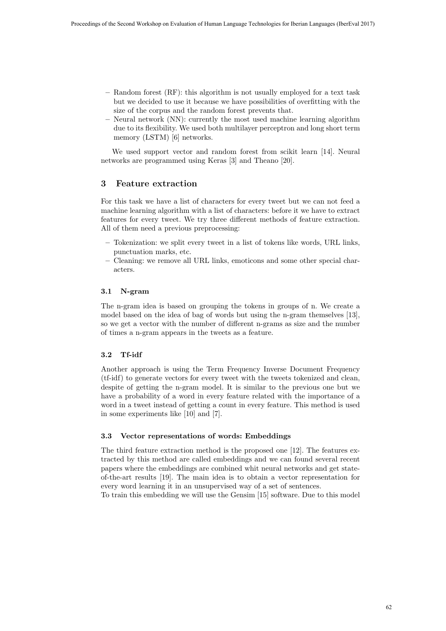- Random forest (RF): this algorithm is not usually employed for a text task but we decided to use it because we have possibilities of overfitting with the size of the corpus and the random forest prevents that.
- Neural network (NN): currently the most used machine learning algorithm due to its flexibility. We used both multilayer perceptron and long short term memory (LSTM) [6] networks.

We used support vector and random forest from scikit learn [14]. Neural networks are programmed using Keras [3] and Theano [20].

## 3 Feature extraction

For this task we have a list of characters for every tweet but we can not feed a machine learning algorithm with a list of characters: before it we have to extract features for every tweet. We try three different methods of feature extraction. All of them need a previous preprocessing:

- Tokenization: we split every tweet in a list of tokens like words, URL links, punctuation marks, etc.
- Cleaning: we remove all URL links, emoticons and some other special characters.

### 3.1 N-gram

The n-gram idea is based on grouping the tokens in groups of n. We create a model based on the idea of bag of words but using the n-gram themselves [13], so we get a vector with the number of different n-grams as size and the number of times a n-gram appears in the tweets as a feature.

### 3.2 Tf-idf

Another approach is using the Term Frequency Inverse Document Frequency (tf-idf) to generate vectors for every tweet with the tweets tokenized and clean, despite of getting the n-gram model. It is similar to the previous one but we have a probability of a word in every feature related with the importance of a word in a tweet instead of getting a count in every feature. This method is used in some experiments like [10] and [7].

#### 3.3 Vector representations of words: Embeddings

The third feature extraction method is the proposed one [12]. The features extracted by this method are called embeddings and we can found several recent papers where the embeddings are combined whit neural networks and get stateof-the-art results [19]. The main idea is to obtain a vector representation for every word learning it in an unsupervised way of a set of sentences.

To train this embedding we will use the Gensim [15] software. Due to this model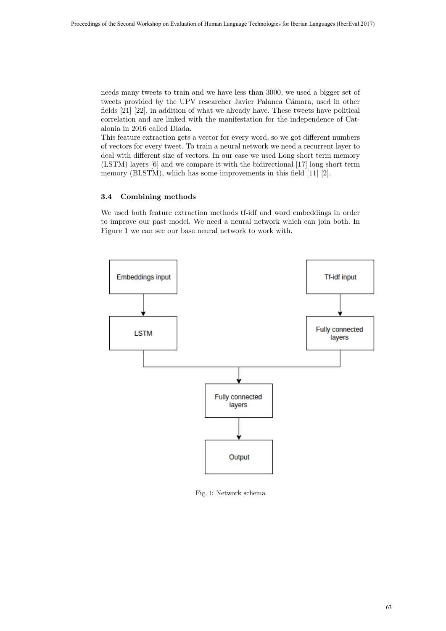needs many tweets to train and we have less than 3000, we used a bigger set of tweets provided by the UPV researcher Javier Palanca Cámara, used in other fields [21] [22], in addition of what we already have. These tweets have political correlation and are linked with the manifestation for the independence of Catalonia in 2016 called Diada.

This feature extraction gets a vector for every word, so we got different numbers of vectors for every tweet. To train a neural network we need a recurrent layer to deal with different size of vectors. In our case we used Long short term memory (LSTM) layers [6] and we compare it with the bidirectional [17] long short term memory (BLSTM), which has some improvements in this field [11] [2].

## 3.4 Combining methods

We used both feature extraction methods tf-idf and word embeddings in order to improve our past model. We need a neural network which can join both. In Figure 1 we can see our base neural network to work with.



Fig. 1: Network schema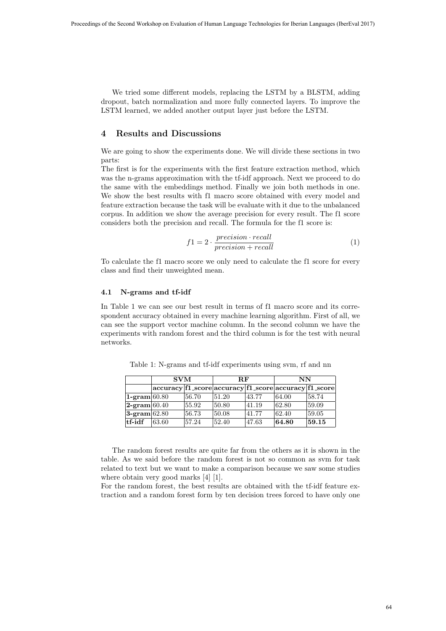We tried some different models, replacing the LSTM by a BLSTM, adding dropout, batch normalization and more fully connected layers. To improve the LSTM learned, we added another output layer just before the LSTM.

### 4 Results and Discussions

We are going to show the experiments done. We will divide these sections in two parts:

The first is for the experiments with the first feature extraction method, which was the n-grams approximation with the tf-idf approach. Next we proceed to do the same with the embeddings method. Finally we join both methods in one. We show the best results with f1 macro score obtained with every model and feature extraction because the task will be evaluate with it due to the unbalanced corpus. In addition we show the average precision for every result. The f1 score considers both the precision and recall. The formula for the f1 score is:

$$
f1 = 2 \cdot \frac{precision \cdot recall}{precision + recall}
$$
 (1)

To calculate the f1 macro score we only need to calculate the f1 score for every class and find their unweighted mean.

#### 4.1 N-grams and tf-idf

In Table 1 we can see our best result in terms of f1 macro score and its correspondent accuracy obtained in every machine learning algorithm. First of all, we can see the support vector machine column. In the second column we have the experiments with random forest and the third column is for the test with neural networks.

|                               | <b>SVM</b>                                            |       | $R$ $F$ |       | NN              |       |
|-------------------------------|-------------------------------------------------------|-------|---------|-------|-----------------|-------|
|                               | accuracy f1_score accuracy f1_score accuracy f1_score |       |         |       |                 |       |
| $1$ -gram 60.80               |                                                       | 56.70 | 51.20   | 43.77 | 64.00           | 58.74 |
| $ 2\text{-gram} 60.40\rangle$ |                                                       | 55.92 | 50.80   | 41.19 | $ 62.80\rangle$ | 59.09 |
| $3$ -gram $62.80$             |                                                       | 56.73 | 50.08   | 41.77 | $ 62.40\rangle$ | 59.05 |
| tf-idf                        | 63.60                                                 | 57.24 | 52.40   | 47.63 | 64.80           | 59.15 |

Table 1: N-grams and tf-idf experiments using svm, rf and nn

The random forest results are quite far from the others as it is shown in the table. As we said before the random forest is not so common as svm for task related to text but we want to make a comparison because we saw some studies where obtain very good marks [4] [1].

For the random forest, the best results are obtained with the tf-idf feature extraction and a random forest form by ten decision trees forced to have only one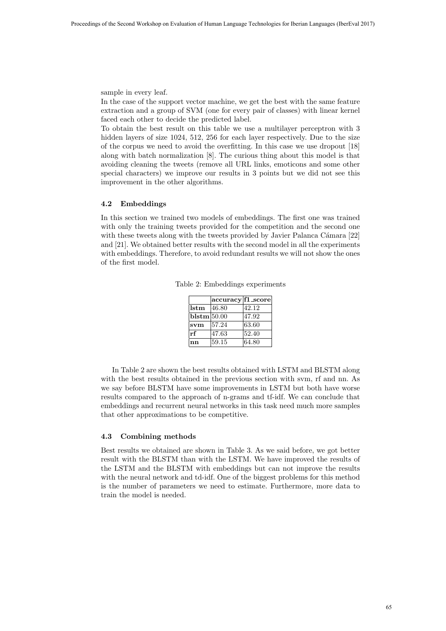sample in every leaf.

In the case of the support vector machine, we get the best with the same feature extraction and a group of SVM (one for every pair of classes) with linear kernel faced each other to decide the predicted label.

To obtain the best result on this table we use a multilayer perceptron with 3 hidden layers of size 1024, 512, 256 for each layer respectively. Due to the size of the corpus we need to avoid the overfitting. In this case we use dropout [18] along with batch normalization [8]. The curious thing about this model is that avoiding cleaning the tweets (remove all URL links, emoticons and some other special characters) we improve our results in 3 points but we did not see this improvement in the other algorithms.

#### 4.2 Embeddings

In this section we trained two models of embeddings. The first one was trained with only the training tweets provided for the competition and the second one with these tweets along with the tweets provided by Javier Palanca Cámara [22] and [21]. We obtained better results with the second model in all the experiments with embeddings. Therefore, to avoid redundant results we will not show the ones of the first model.

|  | Table 2: Embeddings experiments |
|--|---------------------------------|
|  |                                 |

|                       | accuracy f1_score |       |
|-----------------------|-------------------|-------|
| lstm                  | 46.80             | 42.12 |
| $ {\bf b lstm} 50.00$ |                   | 47.92 |
| svm                   | 57.24             | 63.60 |
| rf                    | 47.63             | 52.40 |
| nn                    | 59.15             | 64.80 |

In Table 2 are shown the best results obtained with LSTM and BLSTM along with the best results obtained in the previous section with svm, rf and nn. As we say before BLSTM have some improvements in LSTM but both have worse results compared to the approach of n-grams and tf-idf. We can conclude that embeddings and recurrent neural networks in this task need much more samples that other approximations to be competitive.

#### 4.3 Combining methods

Best results we obtained are shown in Table 3. As we said before, we got better result with the BLSTM than with the LSTM. We have improved the results of the LSTM and the BLSTM with embeddings but can not improve the results with the neural network and td-idf. One of the biggest problems for this method is the number of parameters we need to estimate. Furthermore, more data to train the model is needed.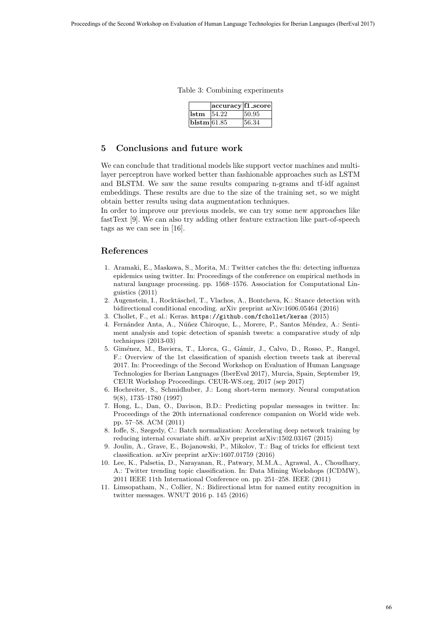Table 3: Combining experiments

|             | $ accuracy f1_score $ |       |
|-------------|-----------------------|-------|
| lstm        | 154.22                | 50.95 |
| blstm/61.85 |                       | 56.34 |

## 5 Conclusions and future work

We can conclude that traditional models like support vector machines and multilayer perceptron have worked better than fashionable approaches such as LSTM and BLSTM. We saw the same results comparing n-grams and tf-idf against embeddings. These results are due to the size of the training set, so we might obtain better results using data augmentation techniques.

In order to improve our previous models, we can try some new approaches like fastText [9]. We can also try adding other feature extraction like part-of-speech tags as we can see in [16].

## References

- 1. Aramaki, E., Maskawa, S., Morita, M.: Twitter catches the flu: detecting influenza epidemics using twitter. In: Proceedings of the conference on empirical methods in natural language processing. pp. 1568–1576. Association for Computational Linguistics (2011)
- 2. Augenstein, I., Rocktäschel, T., Vlachos, A., Bontcheva, K.: Stance detection with bidirectional conditional encoding. arXiv preprint arXiv:1606.05464 (2016)
- 3. Chollet, F., et al.: Keras. https://github.com/fchollet/keras (2015)
- 4. Fernández Anta, A., Núñez Chiroque, L., Morere, P., Santos Méndez, A.: Sentiment analysis and topic detection of spanish tweets: a comparative study of nlp techniques (2013-03)
- 5. Giménez, M., Baviera, T., Llorca, G., Gámir, J., Calvo, D., Rosso, P., Rangel, F.: Overview of the 1st classification of spanish election tweets task at ibereval 2017. In: Proceedings of the Second Workshop on Evaluation of Human Language Technologies for Iberian Languages (IberEval 2017), Murcia, Spain, September 19, CEUR Workshop Proceedings. CEUR-WS.org, 2017 (sep 2017)
- 6. Hochreiter, S., Schmidhuber, J.: Long short-term memory. Neural computation 9(8), 1735–1780 (1997)
- 7. Hong, L., Dan, O., Davison, B.D.: Predicting popular messages in twitter. In: Proceedings of the 20th international conference companion on World wide web. pp. 57–58. ACM (2011)
- 8. Ioffe, S., Szegedy, C.: Batch normalization: Accelerating deep network training by reducing internal covariate shift. arXiv preprint arXiv:1502.03167 (2015)
- 9. Joulin, A., Grave, E., Bojanowski, P., Mikolov, T.: Bag of tricks for efficient text classification. arXiv preprint arXiv:1607.01759 (2016)
- 10. Lee, K., Palsetia, D., Narayanan, R., Patwary, M.M.A., Agrawal, A., Choudhary, A.: Twitter trending topic classification. In: Data Mining Workshops (ICDMW), 2011 IEEE 11th International Conference on. pp. 251–258. IEEE (2011)
- 11. Limsopatham, N., Collier, N.: Bidirectional lstm for named entity recognition in twitter messages. WNUT 2016 p. 145 (2016)